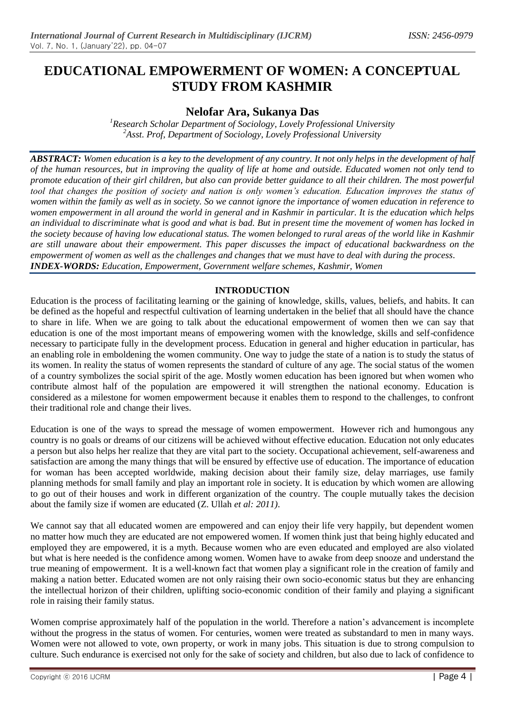# **EDUCATIONAL EMPOWERMENT OF WOMEN: A CONCEPTUAL STUDY FROM KASHMIR**

## **Nelofar Ara, Sukanya Das**

*<sup>1</sup>Research Scholar Department of Sociology, Lovely Professional University <sup>2</sup>Asst. Prof, Department of Sociology, Lovely Professional University*

*ABSTRACT: Women education is a key to the development of any country. It not only helps in the development of half of the human resources, but in improving the quality of life at home and outside. Educated women not only tend to promote education of their girl children, but also can provide better guidance to all their children. The most powerful tool that changes the position of society and nation is only women's education. Education improves the status of women within the family as well as in society. So we cannot ignore the importance of women education in reference to women empowerment in all around the world in general and in Kashmir in particular. It is the education which helps an individual to discriminate what is good and what is bad. But in present time the movement of women has locked in the society because of having low educational status. The women belonged to rural areas of the world like in Kashmir are still unaware about their empowerment. This paper discusses the impact of educational backwardness on the empowerment of women as well as the challenges and changes that we must have to deal with during the process. INDEX-WORDS: Education, Empowerment, Government welfare schemes, Kashmir, Women*

## **INTRODUCTION**

Education is the process of facilitating learning or the gaining of knowledge, skills, values, beliefs, and habits. It can be defined as the hopeful and respectful cultivation of learning undertaken in the belief that all should have the chance to share in life. When we are going to talk about the educational empowerment of women then we can say that education is one of the most important means of empowering women with the knowledge, skills and self-confidence necessary to participate fully in the development process. Education in general and higher education in particular, has an enabling role in emboldening the women community. One way to judge the state of a nation is to study the status of its women. In reality the status of women represents the standard of culture of any age. The social status of the women of a country symbolizes the social spirit of the age. Mostly women education has been ignored but when women who contribute almost half of the population are empowered it will strengthen the national economy. Education is considered as a milestone for women empowerment because it enables them to respond to the challenges, to confront their traditional role and change their lives.

Education is one of the ways to spread the message of women empowerment. However rich and humongous any country is no goals or dreams of our citizens will be achieved without effective education. Education not only educates a person but also helps her realize that they are vital part to the society. Occupational achievement, self-awareness and satisfaction are among the many things that will be ensured by effective use of education. The importance of education for woman has been accepted worldwide, making decision about their family size, delay marriages, use family planning methods for small family and play an important role in society. It is education by which women are allowing to go out of their houses and work in different organization of the country. The couple mutually takes the decision about the family size if women are educated (Z. Ullah *et al: 2011)*.

We cannot say that all educated women are empowered and can enjoy their life very happily, but dependent women no matter how much they are educated are not empowered women. If women think just that being highly educated and employed they are empowered, it is a myth. Because women who are even educated and employed are also violated but what is here needed is the confidence among women. Women have to awake from deep snooze and understand the true meaning of empowerment. It is a well-known fact that women play a significant role in the creation of family and making a nation better. Educated women are not only raising their own socio-economic status but they are enhancing the intellectual horizon of their children, uplifting socio-economic condition of their family and playing a significant role in raising their family status.

Women comprise approximately half of the population in the world. Therefore a nation's advancement is incomplete without the progress in the status of women. For centuries, women were treated as substandard to men in many ways. Women were not allowed to vote, own property, or work in many jobs. This situation is due to strong compulsion to culture. Such endurance is exercised not only for the sake of society and children, but also due to lack of confidence to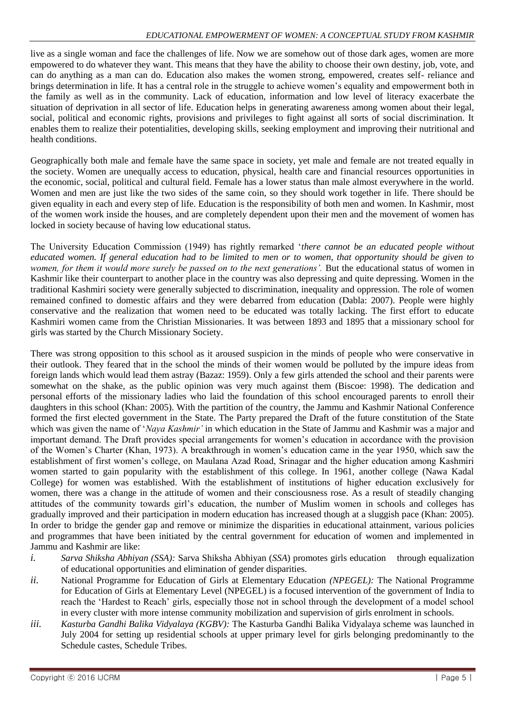live as a single woman and face the challenges of life. Now we are somehow out of those dark ages, women are more empowered to do whatever they want. This means that they have the ability to choose their own destiny, job, vote, and can do anything as a man can do. Education also makes the women strong, empowered, creates self- reliance and brings determination in life. It has a central role in the struggle to achieve women's equality and empowerment both in the family as well as in the community. Lack of education, information and low level of literacy exacerbate the situation of deprivation in all sector of life. Education helps in generating awareness among women about their legal, social, political and economic rights, provisions and privileges to fight against all sorts of social discrimination. It enables them to realize their potentialities, developing skills, seeking employment and improving their nutritional and health conditions.

Geographically both male and female have the same space in society, yet male and female are not treated equally in the society. Women are unequally access to education, physical, health care and financial resources opportunities in the economic, social, political and cultural field. Female has a lower status than male almost everywhere in the world. Women and men are just like the two sides of the same coin, so they should work together in life. There should be given equality in each and every step of life. Education is the responsibility of both men and women. In Kashmir, most of the women work inside the houses, and are completely dependent upon their men and the movement of women has locked in society because of having low educational status.

The University Education Commission (1949) has rightly remarked '*there cannot be an educated people without educated women. If general education had to be limited to men or to women, that opportunity should be given to women, for them it would more surely be passed on to the next generations'*. But the educational status of women in Kashmir like their counterpart to another place in the country was also depressing and quite depressing. Women in the traditional Kashmiri society were generally subjected to discrimination, inequality and oppression. The role of women remained confined to domestic affairs and they were debarred from education (Dabla: 2007). People were highly conservative and the realization that women need to be educated was totally lacking. The first effort to educate Kashmiri women came from the Christian Missionaries. It was between 1893 and 1895 that a missionary school for girls was started by the Church Missionary Society.

There was strong opposition to this school as it aroused suspicion in the minds of people who were conservative in their outlook. They feared that in the school the minds of their women would be polluted by the impure ideas from foreign lands which would lead them astray (Bazaz: 1959). Only a few girls attended the school and their parents were somewhat on the shake, as the public opinion was very much against them (Biscoe: 1998). The dedication and personal efforts of the missionary ladies who laid the foundation of this school encouraged parents to enroll their daughters in this school (Khan: 2005). With the partition of the country, the Jammu and Kashmir National Conference formed the first elected government in the State. The Party prepared the Draft of the future constitution of the State which was given the name of '*Naya Kashmir'* in which education in the State of Jammu and Kashmir was a major and important demand. The Draft provides special arrangements for women's education in accordance with the provision of the Women's Charter (Khan, 1973). A breakthrough in women's education came in the year 1950, which saw the establishment of first women's college, on Maulana Azad Road, Srinagar and the higher education among Kashmiri women started to gain popularity with the establishment of this college. In 1961, another college (Nawa Kadal College) for women was established. With the establishment of institutions of higher education exclusively for women, there was a change in the attitude of women and their consciousness rose. As a result of steadily changing attitudes of the community towards girl's education, the number of Muslim women in schools and colleges has gradually improved and their participation in modern education has increased though at a sluggish pace (Khan: 2005). In order to bridge the gender gap and remove or minimize the disparities in educational attainment, various policies and programmes that have been initiated by the central government for education of women and implemented in Jammu and Kashmir are like:

- *i. Sarva Shiksha Abhiyan (SSA):* Sarva Shiksha Abhiyan (*SSA*) promotes girls education through equalization of educational opportunities and elimination of gender disparities.
- *ii.* National Programme for Education of Girls at Elementary Education *(NPEGEL):* The National Programme for Education of Girls at Elementary Level (NPEGEL) is a focused intervention of the government of India to reach the 'Hardest to Reach' girls, especially those not in school through the development of a model school in every cluster with more intense community mobilization and supervision of girls enrolment in schools.
- *iii. Kasturba Gandhi Balika Vidyalaya (KGBV):* The Kasturba Gandhi Balika Vidyalaya scheme was launched in July 2004 for setting up residential schools at upper primary level for girls belonging predominantly to the Schedule castes, Schedule Tribes.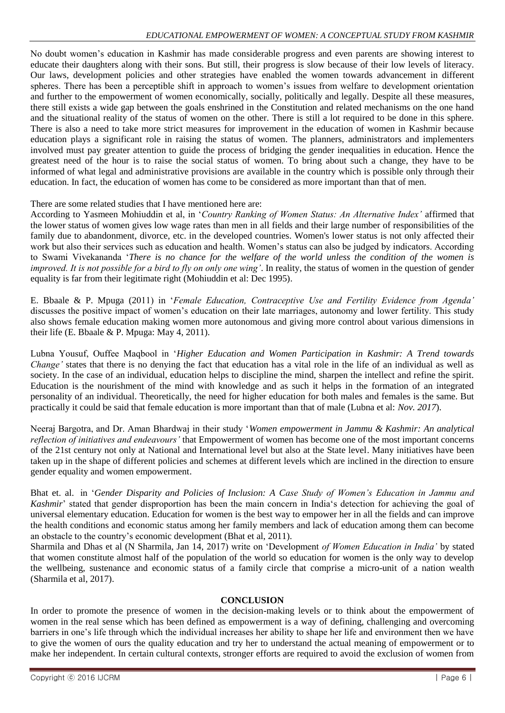No doubt women's education in Kashmir has made considerable progress and even parents are showing interest to educate their daughters along with their sons. But still, their progress is slow because of their low levels of literacy. Our laws, development policies and other strategies have enabled the women towards advancement in different spheres. There has been a perceptible shift in approach to women's issues from welfare to development orientation and further to the empowerment of women economically, socially, politically and legally. Despite all these measures, there still exists a wide gap between the goals enshrined in the Constitution and related mechanisms on the one hand and the situational reality of the status of women on the other. There is still a lot required to be done in this sphere. There is also a need to take more strict measures for improvement in the education of women in Kashmir because education plays a significant role in raising the status of women. The planners, administrators and implementers involved must pay greater attention to guide the process of bridging the gender inequalities in education. Hence the greatest need of the hour is to raise the social status of women. To bring about such a change, they have to be informed of what legal and administrative provisions are available in the country which is possible only through their education. In fact, the education of women has come to be considered as more important than that of men.

There are some related studies that I have mentioned here are:

According to Yasmeen Mohiuddin et al, in '*Country Ranking of Women Status: An Alternative Index'* affirmed that the lower status of women gives low wage rates than men in all fields and their large number of responsibilities of the family due to abandonment, divorce, etc. in the developed countries. Women's lower status is not only affected their work but also their services such as education and health. Women's status can also be judged by indicators. According to Swami Vivekananda '*There is no chance for the welfare of the world unless the condition of the women is improved. It is not possible for a bird to fly on only one wing'*. In reality, the status of women in the question of gender equality is far from their legitimate right (Mohiuddin et al: Dec 1995).

E. Bbaale & P. Mpuga (2011) in '*Female Education, Contraceptive Use and Fertility Evidence from Agenda'* discusses the positive impact of women's education on their late marriages, autonomy and lower fertility. This study also shows female education making women more autonomous and giving more control about various dimensions in their life (E. Bbaale & P. Mpuga: May 4, 2011).

Lubna Yousuf, Ouffee Maqbool in '*Higher Education and Women Participation in Kashmir: A Trend towards Change'* states that there is no denying the fact that education has a vital role in the life of an individual as well as society. In the case of an individual, education helps to discipline the mind, sharpen the intellect and refine the spirit. Education is the nourishment of the mind with knowledge and as such it helps in the formation of an integrated personality of an individual. Theoretically, the need for higher education for both males and females is the same. But practically it could be said that female education is more important than that of male (Lubna et al: *Nov. 2017*).

Neeraj Bargotra, and Dr. Aman Bhardwaj in their study '*Women empowerment in Jammu & Kashmir: An analytical reflection of initiatives and endeavours'* that Empowerment of women has become one of the most important concerns of the 21st century not only at National and International level but also at the State level. Many initiatives have been taken up in the shape of different policies and schemes at different levels which are inclined in the direction to ensure gender equality and women empowerment.

Bhat et. al. in '*Gender Disparity and Policies of Inclusion: A Case Study of Women's Education in Jammu and Kashmir*' stated that gender disproportion has been the main concern in India's detection for achieving the goal of universal elementary education. Education for women is the best way to empower her in all the fields and can improve the health conditions and economic status among her family members and lack of education among them can become an obstacle to the country's economic development (Bhat et al, 2011).

Sharmila and Dhas et al (N Sharmila, Jan 14, 2017) write on 'Development *of Women Education in India'* by stated that women constitute almost half of the population of the world so education for women is the only way to develop the wellbeing, sustenance and economic status of a family circle that comprise a micro-unit of a nation wealth (Sharmila et al, 2017).

### **CONCLUSION**

In order to promote the presence of women in the decision-making levels or to think about the empowerment of women in the real sense which has been defined as empowerment is a way of defining, challenging and overcoming barriers in one's life through which the individual increases her ability to shape her life and environment then we have to give the women of ours the quality education and try her to understand the actual meaning of empowerment or to make her independent. In certain cultural contexts, stronger efforts are required to avoid the exclusion of women from